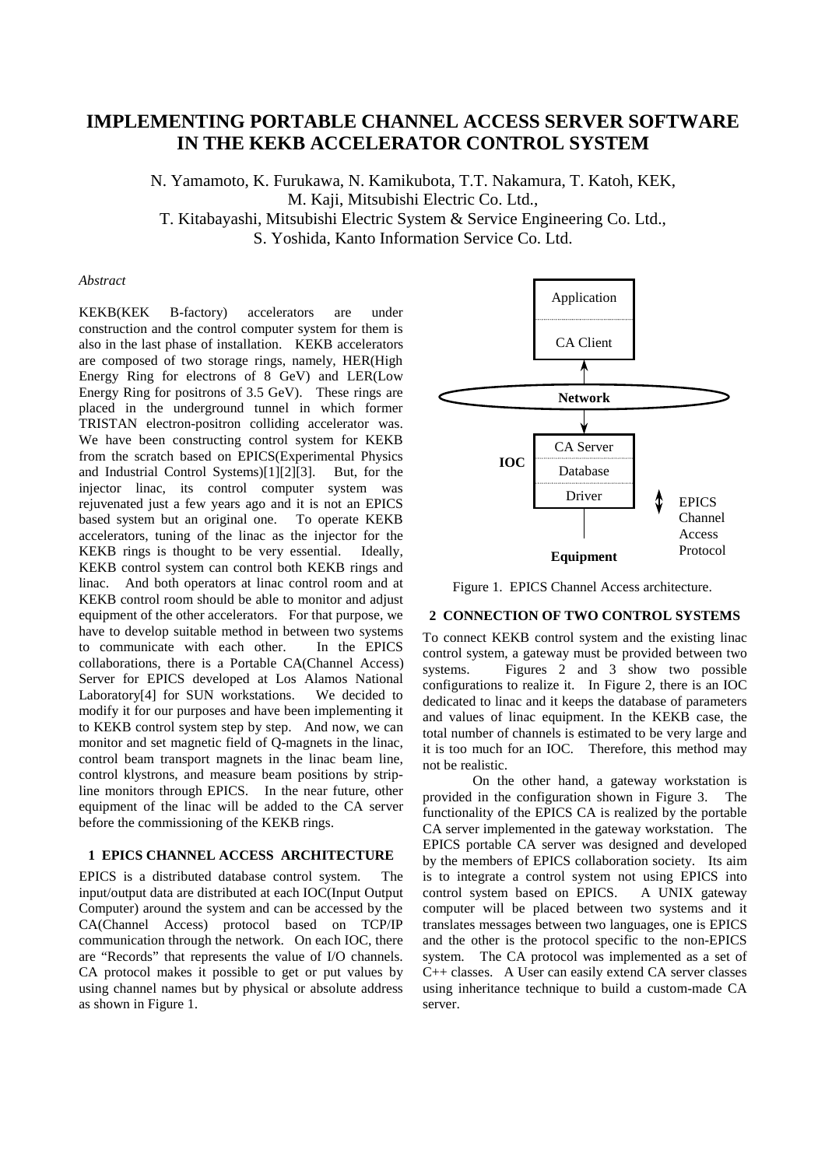# **IMPLEMENTING PORTABLE CHANNEL ACCESS SERVER SOFTWARE IN THE KEKB ACCELERATOR CONTROL SYSTEM**

N. Yamamoto, K. Furukawa, N. Kamikubota, T.T. Nakamura, T. Katoh, KEK, M. Kaji, Mitsubishi Electric Co. Ltd., T. Kitabayashi, Mitsubishi Electric System & Service Engineering Co. Ltd., S. Yoshida, Kanto Information Service Co. Ltd.

#### *Abstract*

KEKB(KEK B-factory) accelerators are under construction and the control computer system for them is also in the last phase of installation. KEKB accelerators are composed of two storage rings, namely, HER(High Energy Ring for electrons of 8 GeV) and LER(Low Energy Ring for positrons of 3.5 GeV). These rings are placed in the underground tunnel in which former TRISTAN electron-positron colliding accelerator was. We have been constructing control system for KEKB from the scratch based on EPICS(Experimental Physics and Industrial Control Systems)[1][2][3]. But, for the injector linac, its control computer system was rejuvenated just a few years ago and it is not an EPICS based system but an original one. To operate KEKB accelerators, tuning of the linac as the injector for the KEKB rings is thought to be very essential. Ideally, KEKB control system can control both KEKB rings and linac. And both operators at linac control room and at KEKB control room should be able to monitor and adjust equipment of the other accelerators. For that purpose, we have to develop suitable method in between two systems to communicate with each other. In the EPICS collaborations, there is a Portable CA(Channel Access) Server for EPICS developed at Los Alamos National Laboratory[4] for SUN workstations. We decided to modify it for our purposes and have been implementing it to KEKB control system step by step. And now, we can monitor and set magnetic field of Q-magnets in the linac, control beam transport magnets in the linac beam line, control klystrons, and measure beam positions by stripline monitors through EPICS. In the near future, other equipment of the linac will be added to the CA server before the commissioning of the KEKB rings.

#### **1 EPICS CHANNEL ACCESS ARCHITECTURE**

EPICS is a distributed database control system. The input/output data are distributed at each IOC(Input Output Computer) around the system and can be accessed by the CA(Channel Access) protocol based on TCP/IP communication through the network. On each IOC, there are "Records" that represents the value of I/O channels. CA protocol makes it possible to get or put values by using channel names but by physical or absolute address as shown in Figure 1.



Figure 1. EPICS Channel Access architecture.

## **2 CONNECTION OF TWO CONTROL SYSTEMS**

To connect KEKB control system and the existing linac control system, a gateway must be provided between two systems. Figures 2 and 3 show two possible configurations to realize it. In Figure 2, there is an IOC dedicated to linac and it keeps the database of parameters and values of linac equipment. In the KEKB case, the total number of channels is estimated to be very large and it is too much for an IOC. Therefore, this method may not be realistic.

On the other hand, a gateway workstation is provided in the configuration shown in Figure 3. The functionality of the EPICS CA is realized by the portable CA server implemented in the gateway workstation. The EPICS portable CA server was designed and developed by the members of EPICS collaboration society. Its aim is to integrate a control system not using EPICS into control system based on EPICS. A UNIX gateway computer will be placed between two systems and it translates messages between two languages, one is EPICS and the other is the protocol specific to the non-EPICS system. The CA protocol was implemented as a set of C++ classes. A User can easily extend CA server classes using inheritance technique to build a custom-made CA server.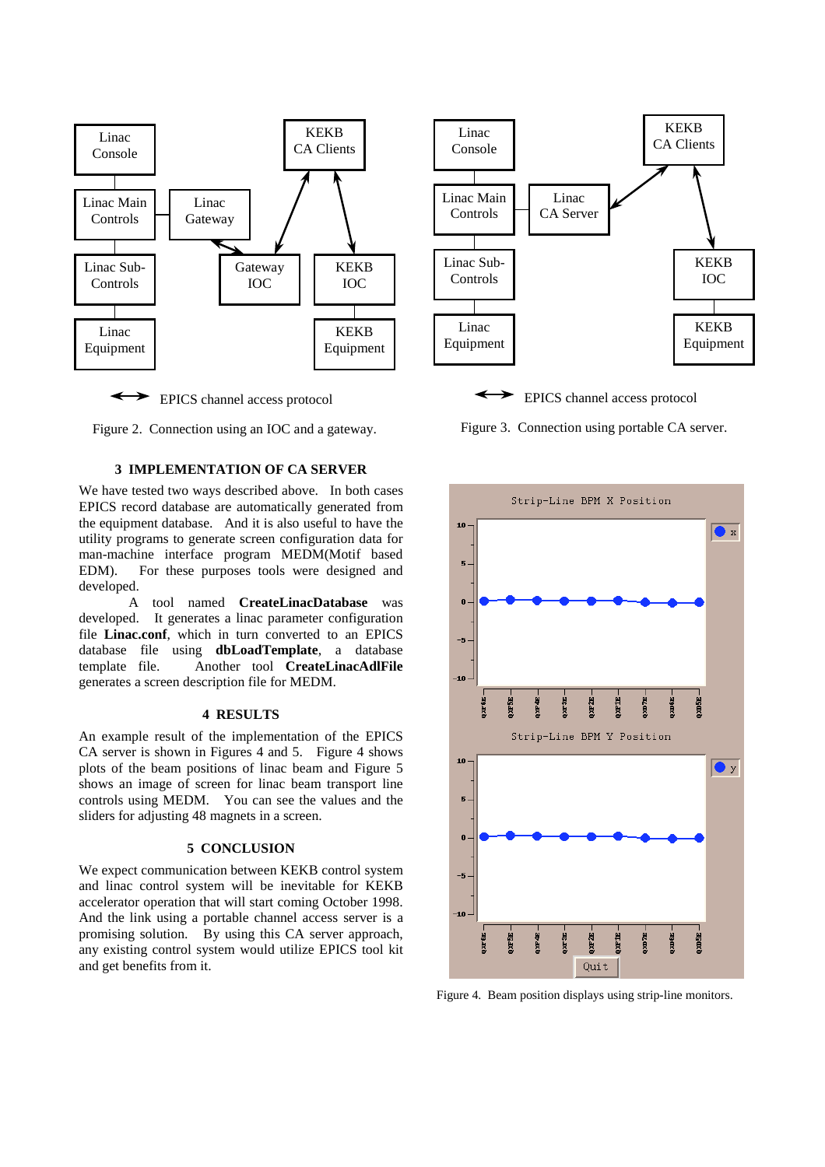

EPICS channel access protocol



#### **3 IMPLEMENTATION OF CA SERVER**

We have tested two ways described above. In both cases EPICS record database are automatically generated from the equipment database. And it is also useful to have the utility programs to generate screen configuration data for man-machine interface program MEDM(Motif based EDM). For these purposes tools were designed and developed.

A tool named **CreateLinacDatabase** was developed. It generates a linac parameter configuration file **Linac.conf**, which in turn converted to an EPICS database file using **dbLoadTemplate**, a database template file. Another tool **CreateLinacAdlFile** generates a screen description file for MEDM.

#### **4 RESULTS**

An example result of the implementation of the EPICS CA server is shown in Figures 4 and 5. Figure 4 shows plots of the beam positions of linac beam and Figure 5 shows an image of screen for linac beam transport line controls using MEDM. You can see the values and the sliders for adjusting 48 magnets in a screen.

#### **5 CONCLUSION**

We expect communication between KEKB control system and linac control system will be inevitable for KEKB accelerator operation that will start coming October 1998. And the link using a portable channel access server is a promising solution. By using this CA server approach, any existing control system would utilize EPICS tool kit and get benefits from it.



EPICS channel access protocol

Figure 3. Connection using portable CA server.



Figure 4. Beam position displays using strip-line monitors.